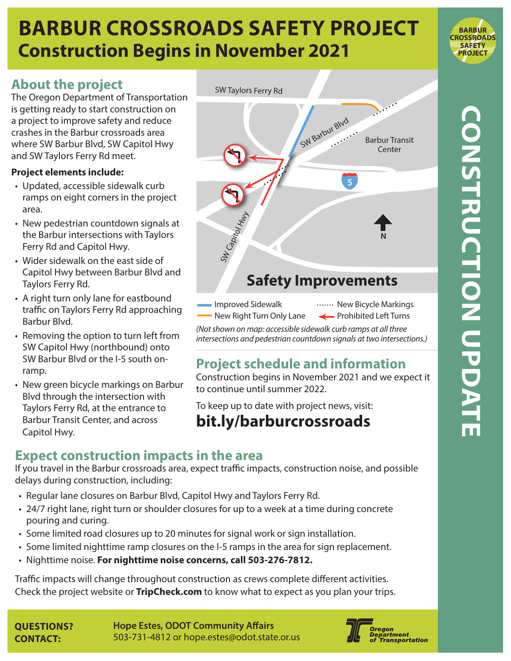## **BARBUR CROSSROADS SAFETY PROJECT Construction Begins in November 2021**



## **About the project**

The Oregon Department of Transportation is getting ready to start construction on a project to improve safety and reduce crashes in the Barbur crossroads area where SW Barbur Blvd, SW Capitol Hwy and SW Taylors Ferry Rd meet.

#### **Project elements include:**

- Updated, accessible sidewalk curb ramps on eight corners in the project area.
- New pedestrian countdown signals at the Barbur intersections with Taylors Ferry Rd and Capitol Hwy.
- Wider sidewalk on the east side of Capitol Hwy between Barbur Blvd and Taylors Ferry Rd.
- A right turn only lane for eastbound traffic on Taylors Ferry Rd approaching Barbur Blvd.
- Removing the option to turn left from SW Capitol Hwy (northbound) onto SW Barbur Blvd or the I-5 south onramp.
- New green bicycle markings on Barbur Blvd through the intersection with Taylors Ferry Rd, at the entrance to Barbur Transit Center, and across Capitol Hwy.

## **Expect construction impacts in the area**

If you travel in the Barbur crossroads area, expect traffic impacts, construction noise, and possible delays during construction, including:

- Regular lane closures on Barbur Blvd, Capitol Hwy and Taylors Ferry Rd.
- 24/7 right lane, right turn or shoulder closures for up to a week at a time during concrete pouring and curing.
- Some limited road closures up to 20 minutes for signal work or sign installation.
- Some limited nighttime ramp closures on the I-5 ramps in the area for sign replacement.
- Nighttime noise. **For nighttime noise concerns, call 503-276-7812.**

Traffic impacts will change throughout construction as crews complete different activities. Check the project website or **TripCheck.com** to know what to expect as you plan your trips.

**QUESTIONS? CONTACT:**



SW Taylors Ferry Rd  $\sum_{i=1}^{n}$ SW Barbur Blvd Barbur Transit **Center 5** SW Capitol Hwy **N**

## **Safety Improvements**

Improved Sidewalk **New Bicycle Markings** New Right Turn Only Lane - Prohibited Left Turns

*(Not shown on map: accessible sidewalk curb ramps at all three intersections and pedestrian countdown signals at two intersections.)*

## **Project schedule and information**

Construction begins in November 2021 and we expect it to continue until summer 2022.

To keep up to date with project news, visit: **bit.ly/barburcrossroads**